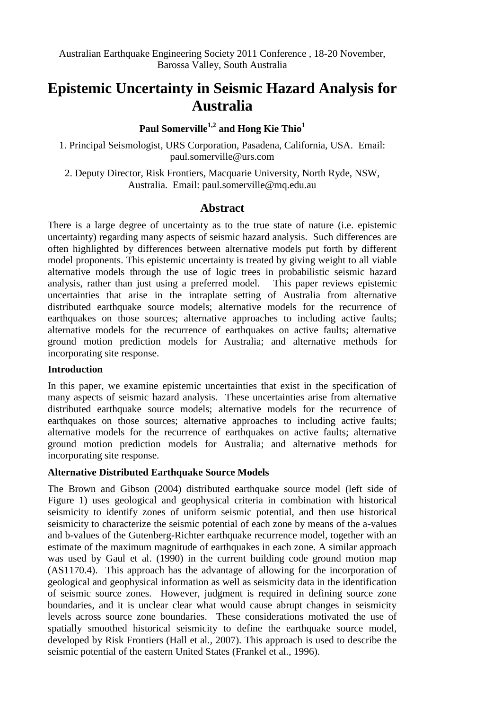# **Epistemic Uncertainty in Seismic Hazard Analysis for Australia**

# **Paul Somerville1,2 and Hong Kie Thio<sup>1</sup>**

1. Principal Seismologist, URS Corporation, Pasadena, California, USA. Email: paul.somerville@urs.com

2. Deputy Director, Risk Frontiers, Macquarie University, North Ryde, NSW, Australia. Email: paul.somerville@mq.edu.au

## **Abstract**

There is a large degree of uncertainty as to the true state of nature (i.e. epistemic uncertainty) regarding many aspects of seismic hazard analysis. Such differences are often highlighted by differences between alternative models put forth by different model proponents. This epistemic uncertainty is treated by giving weight to all viable alternative models through the use of logic trees in probabilistic seismic hazard analysis, rather than just using a preferred model. This paper reviews epistemic uncertainties that arise in the intraplate setting of Australia from alternative distributed earthquake source models; alternative models for the recurrence of earthquakes on those sources; alternative approaches to including active faults; alternative models for the recurrence of earthquakes on active faults; alternative ground motion prediction models for Australia; and alternative methods for incorporating site response.

#### **Introduction**

In this paper, we examine epistemic uncertainties that exist in the specification of many aspects of seismic hazard analysis. These uncertainties arise from alternative distributed earthquake source models; alternative models for the recurrence of earthquakes on those sources; alternative approaches to including active faults; alternative models for the recurrence of earthquakes on active faults; alternative ground motion prediction models for Australia; and alternative methods for incorporating site response.

### **Alternative Distributed Earthquake Source Models**

The Brown and Gibson (2004) distributed earthquake source model (left side of Figure 1) uses geological and geophysical criteria in combination with historical seismicity to identify zones of uniform seismic potential, and then use historical seismicity to characterize the seismic potential of each zone by means of the a-values and b-values of the Gutenberg-Richter earthquake recurrence model, together with an estimate of the maximum magnitude of earthquakes in each zone. A similar approach was used by Gaul et al. (1990) in the current building code ground motion map (AS1170.4). This approach has the advantage of allowing for the incorporation of geological and geophysical information as well as seismicity data in the identification of seismic source zones. However, judgment is required in defining source zone boundaries, and it is unclear clear what would cause abrupt changes in seismicity levels across source zone boundaries. These considerations motivated the use of spatially smoothed historical seismicity to define the earthquake source model, developed by Risk Frontiers (Hall et al., 2007). This approach is used to describe the seismic potential of the eastern United States (Frankel et al., 1996).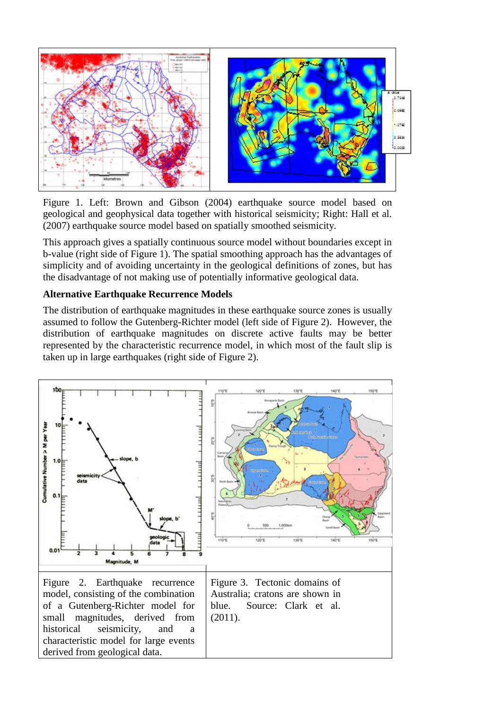

Figure 1. Left: Brown and Gibson (2004) earthquake source model based on geological and geophysical data together with historical seismicity; Right: Hall et al. (2007) earthquake source model based on spatially smoothed seismicity.

This approach gives a spatially continuous source model without boundaries except in b-value (right side of Figure 1). The spatial smoothing approach has the advantages of simplicity and of avoiding uncertainty in the geological definitions of zones, but has the disadvantage of not making use of potentially informative geological data.

#### **Alternative Earthquake Recurrence Models**

The distribution of earthquake magnitudes in these earthquake source zones is usually assumed to follow the Gutenberg-Richter model (left side of Figure 2). However, the distribution of earthquake magnitudes on discrete active faults may be better represented by the characteristic recurrence model, in which most of the fault slip is taken up in large earthquakes (right side of Figure 2).

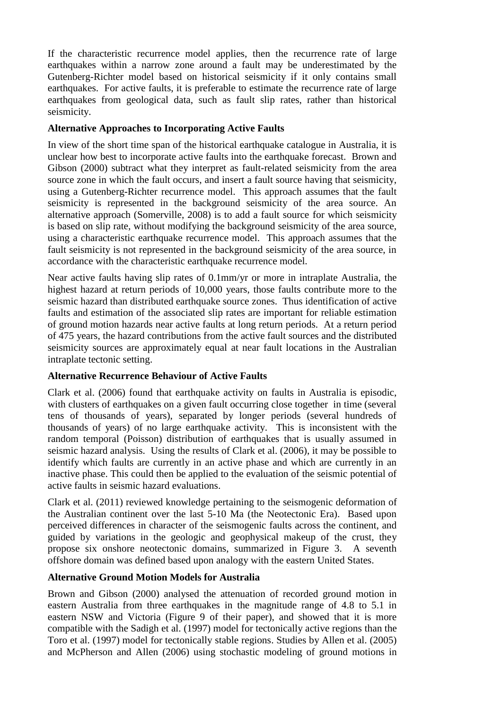If the characteristic recurrence model applies, then the recurrence rate of large earthquakes within a narrow zone around a fault may be underestimated by the Gutenberg-Richter model based on historical seismicity if it only contains small earthquakes. For active faults, it is preferable to estimate the recurrence rate of large earthquakes from geological data, such as fault slip rates, rather than historical seismicity.

#### **Alternative Approaches to Incorporating Active Faults**

In view of the short time span of the historical earthquake catalogue in Australia, it is unclear how best to incorporate active faults into the earthquake forecast. Brown and Gibson (2000) subtract what they interpret as fault-related seismicity from the area source zone in which the fault occurs, and insert a fault source having that seismicity, using a Gutenberg-Richter recurrence model. This approach assumes that the fault seismicity is represented in the background seismicity of the area source. An alternative approach (Somerville, 2008) is to add a fault source for which seismicity is based on slip rate, without modifying the background seismicity of the area source, using a characteristic earthquake recurrence model. This approach assumes that the fault seismicity is not represented in the background seismicity of the area source, in accordance with the characteristic earthquake recurrence model.

Near active faults having slip rates of 0.1mm/yr or more in intraplate Australia, the highest hazard at return periods of 10,000 years, those faults contribute more to the seismic hazard than distributed earthquake source zones. Thus identification of active faults and estimation of the associated slip rates are important for reliable estimation of ground motion hazards near active faults at long return periods. At a return period of 475 years, the hazard contributions from the active fault sources and the distributed seismicity sources are approximately equal at near fault locations in the Australian intraplate tectonic setting.

### **Alternative Recurrence Behaviour of Active Faults**

Clark et al. (2006) found that earthquake activity on faults in Australia is episodic, with clusters of earthquakes on a given fault occurring close together in time (several tens of thousands of years), separated by longer periods (several hundreds of thousands of years) of no large earthquake activity. This is inconsistent with the random temporal (Poisson) distribution of earthquakes that is usually assumed in seismic hazard analysis. Using the results of Clark et al. (2006), it may be possible to identify which faults are currently in an active phase and which are currently in an inactive phase. This could then be applied to the evaluation of the seismic potential of active faults in seismic hazard evaluations.

Clark et al. (2011) reviewed knowledge pertaining to the seismogenic deformation of the Australian continent over the last 5-10 Ma (the Neotectonic Era). Based upon perceived differences in character of the seismogenic faults across the continent, and guided by variations in the geologic and geophysical makeup of the crust, they propose six onshore neotectonic domains, summarized in Figure 3. A seventh offshore domain was defined based upon analogy with the eastern United States.

#### **Alternative Ground Motion Models for Australia**

Brown and Gibson (2000) analysed the attenuation of recorded ground motion in eastern Australia from three earthquakes in the magnitude range of 4.8 to 5.1 in eastern NSW and Victoria (Figure 9 of their paper), and showed that it is more compatible with the Sadigh et al. (1997) model for tectonically active regions than the Toro et al. (1997) model for tectonically stable regions. Studies by Allen et al. (2005) and McPherson and Allen (2006) using stochastic modeling of ground motions in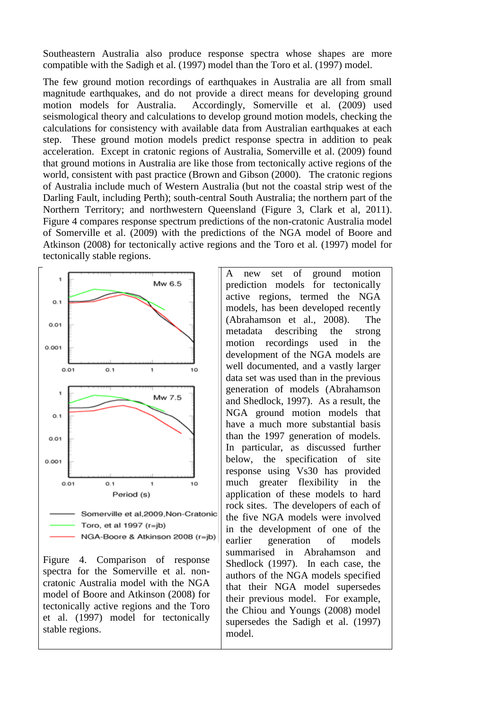Southeastern Australia also produce response spectra whose shapes are more compatible with the Sadigh et al. (1997) model than the Toro et al. (1997) model.

The few ground motion recordings of earthquakes in Australia are all from small magnitude earthquakes, and do not provide a direct means for developing ground motion models for Australia. Accordingly, Somerville et al. (2009) used seismological theory and calculations to develop ground motion models, checking the calculations for consistency with available data from Australian earthquakes at each step. These ground motion models predict response spectra in addition to peak acceleration. Except in cratonic regions of Australia, Somerville et al. (2009) found that ground motions in Australia are like those from tectonically active regions of the world, consistent with past practice (Brown and Gibson (2000). The cratonic regions of Australia include much of Western Australia (but not the coastal strip west of the Darling Fault, including Perth); south-central South Australia; the northern part of the Northern Territory; and northwestern Queensland (Figure 3, Clark et al, 2011). Figure 4 compares response spectrum predictions of the non-cratonic Australia model of Somerville et al. (2009) with the predictions of the NGA model of Boore and Atkinson (2008) for tectonically active regions and the Toro et al. (1997) model for tectonically stable regions.



Figure 4. Comparison of response spectra for the Somerville et al. noncratonic Australia model with the NGA model of Boore and Atkinson (2008) for tectonically active regions and the Toro et al. (1997) model for tectonically stable regions.

A new set of ground motion prediction models for tectonically active regions, termed the NGA models, has been developed recently (Abrahamson et al., 2008). The metadata describing the strong motion recordings used in the development of the NGA models are well documented, and a vastly larger data set was used than in the previous generation of models (Abrahamson and Shedlock, 1997). As a result, the NGA ground motion models that have a much more substantial basis than the 1997 generation of models. In particular, as discussed further below, the specification of site response using Vs30 has provided much greater flexibility in the application of these models to hard rock sites. The developers of each of the five NGA models were involved in the development of one of the earlier generation of models summarised in Abrahamson and Shedlock (1997). In each case, the authors of the NGA models specified that their NGA model supersedes their previous model. For example, the Chiou and Youngs (2008) model supersedes the Sadigh et al. (1997) model.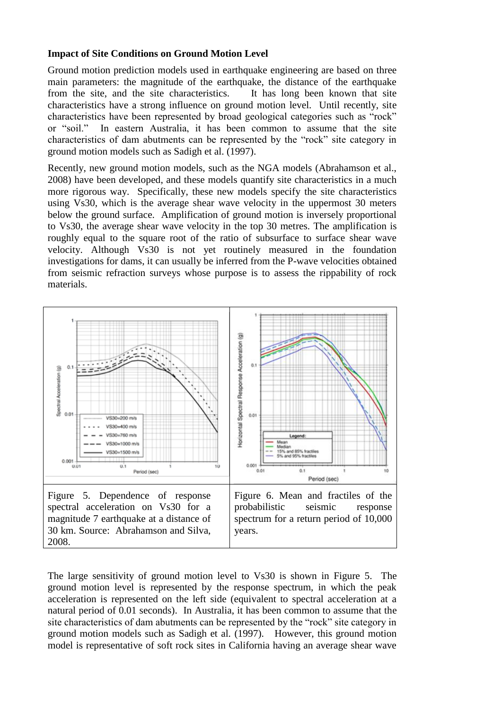#### **Impact of Site Conditions on Ground Motion Level**

Ground motion prediction models used in earthquake engineering are based on three main parameters: the magnitude of the earthquake, the distance of the earthquake from the site, and the site characteristics. It has long been known that site characteristics have a strong influence on ground motion level. Until recently, site characteristics have been represented by broad geological categories such as "rock" or "soil." In eastern Australia, it has been common to assume that the site characteristics of dam abutments can be represented by the "rock" site category in ground motion models such as Sadigh et al. (1997).

Recently, new ground motion models, such as the NGA models (Abrahamson et al., 2008) have been developed, and these models quantify site characteristics in a much more rigorous way. Specifically, these new models specify the site characteristics using Vs30, which is the average shear wave velocity in the uppermost 30 meters below the ground surface. Amplification of ground motion is inversely proportional to Vs30, the average shear wave velocity in the top 30 metres. The amplification is roughly equal to the square root of the ratio of subsurface to surface shear wave velocity. Although Vs30 is not yet routinely measured in the foundation investigations for dams, it can usually be inferred from the P-wave velocities obtained from seismic refraction surveys whose purpose is to assess the rippability of rock materials.



The large sensitivity of ground motion level to Vs30 is shown in Figure 5. The ground motion level is represented by the response spectrum, in which the peak acceleration is represented on the left side (equivalent to spectral acceleration at a natural period of 0.01 seconds). In Australia, it has been common to assume that the site characteristics of dam abutments can be represented by the "rock" site category in ground motion models such as Sadigh et al. (1997). However, this ground motion model is representative of soft rock sites in California having an average shear wave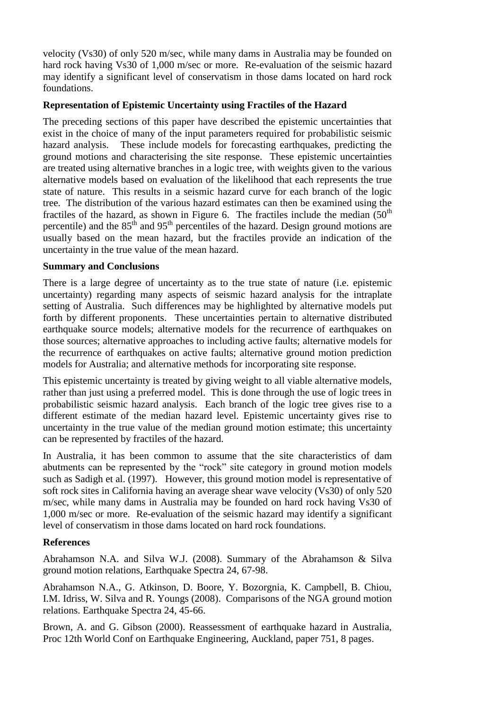velocity (Vs30) of only 520 m/sec, while many dams in Australia may be founded on hard rock having Vs30 of 1,000 m/sec or more. Re-evaluation of the seismic hazard may identify a significant level of conservatism in those dams located on hard rock foundations.

## **Representation of Epistemic Uncertainty using Fractiles of the Hazard**

The preceding sections of this paper have described the epistemic uncertainties that exist in the choice of many of the input parameters required for probabilistic seismic hazard analysis. These include models for forecasting earthquakes, predicting the ground motions and characterising the site response. These epistemic uncertainties are treated using alternative branches in a logic tree, with weights given to the various alternative models based on evaluation of the likelihood that each represents the true state of nature. This results in a seismic hazard curve for each branch of the logic tree. The distribution of the various hazard estimates can then be examined using the fractiles of the hazard, as shown in Figure 6. The fractiles include the median  $(50<sup>th</sup>$ percentile) and the 85<sup>th</sup> and 95<sup>th</sup> percentiles of the hazard. Design ground motions are usually based on the mean hazard, but the fractiles provide an indication of the uncertainty in the true value of the mean hazard.

### **Summary and Conclusions**

There is a large degree of uncertainty as to the true state of nature (i.e. epistemic uncertainty) regarding many aspects of seismic hazard analysis for the intraplate setting of Australia. Such differences may be highlighted by alternative models put forth by different proponents. These uncertainties pertain to alternative distributed earthquake source models; alternative models for the recurrence of earthquakes on those sources; alternative approaches to including active faults; alternative models for the recurrence of earthquakes on active faults; alternative ground motion prediction models for Australia; and alternative methods for incorporating site response.

This epistemic uncertainty is treated by giving weight to all viable alternative models, rather than just using a preferred model. This is done through the use of logic trees in probabilistic seismic hazard analysis. Each branch of the logic tree gives rise to a different estimate of the median hazard level. Epistemic uncertainty gives rise to uncertainty in the true value of the median ground motion estimate; this uncertainty can be represented by fractiles of the hazard.

In Australia, it has been common to assume that the site characteristics of dam abutments can be represented by the "rock" site category in ground motion models such as Sadigh et al. (1997). However, this ground motion model is representative of soft rock sites in California having an average shear wave velocity (Vs30) of only 520 m/sec, while many dams in Australia may be founded on hard rock having Vs30 of 1,000 m/sec or more. Re-evaluation of the seismic hazard may identify a significant level of conservatism in those dams located on hard rock foundations.

## **References**

Abrahamson N.A. and Silva W.J. (2008). Summary of the Abrahamson & Silva ground motion relations, Earthquake Spectra 24, 67-98.

Abrahamson N.A., G. Atkinson, D. Boore, Y. Bozorgnia, K. Campbell, B. Chiou, I.M. Idriss, W. Silva and R. Youngs (2008). Comparisons of the NGA ground motion relations. Earthquake Spectra 24, 45-66.

Brown, A. and G. Gibson (2000). Reassessment of earthquake hazard in Australia, Proc 12th World Conf on Earthquake Engineering, Auckland, paper 751, 8 pages.